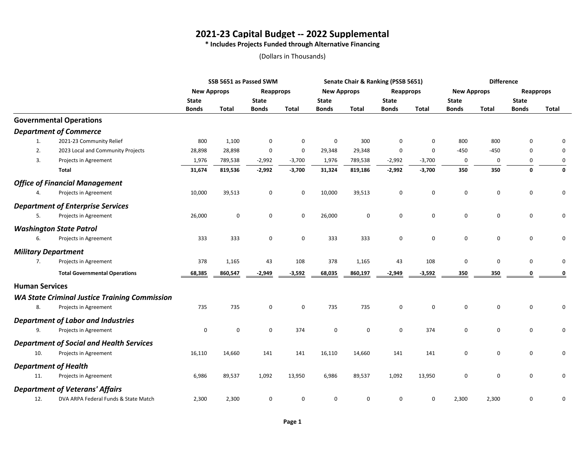# **2021-23 Capital Budget -- 2022 Supplemental**

**\* Includes Projects Funded through Alternative Financing**

### (Dollars in Thousands)

|                       |                                                      | SSB 5651 as Passed SWM |           |              |              |                    |              | Senate Chair & Ranking (PSSB 5651) |                     | <b>Difference</b>  |              |                  |              |
|-----------------------|------------------------------------------------------|------------------------|-----------|--------------|--------------|--------------------|--------------|------------------------------------|---------------------|--------------------|--------------|------------------|--------------|
|                       |                                                      | <b>New Approps</b>     |           | Reapprops    |              | <b>New Approps</b> |              | Reapprops                          |                     | <b>New Approps</b> |              | <b>Reapprops</b> |              |
|                       |                                                      | <b>State</b>           |           | <b>State</b> |              | <b>State</b>       |              | <b>State</b>                       |                     | <b>State</b>       |              | <b>State</b>     |              |
|                       |                                                      | <b>Bonds</b>           | Total     | <b>Bonds</b> | <b>Total</b> | <b>Bonds</b>       | <b>Total</b> | <b>Bonds</b>                       | <b>Total</b>        | <b>Bonds</b>       | <b>Total</b> | <b>Bonds</b>     | <b>Total</b> |
|                       | <b>Governmental Operations</b>                       |                        |           |              |              |                    |              |                                    |                     |                    |              |                  |              |
|                       | <b>Department of Commerce</b>                        |                        |           |              |              |                    |              |                                    |                     |                    |              |                  |              |
| 1.                    | 2021-23 Community Relief                             | 800                    | 1,100     | 0            | $\mathbf 0$  | 0                  | 300          | 0                                  | $\mathbf 0$         | 800                | 800          | $\mathbf 0$      | 0            |
| 2.                    | 2023 Local and Community Projects                    | 28,898                 | 28,898    | 0            | $\mathbf 0$  | 29,348             | 29,348       | 0                                  | $\mathbf 0$         | $-450$             | $-450$       | $\mathbf 0$      | 0            |
| 3.                    | Projects in Agreement                                | 1,976                  | 789,538   | $-2,992$     | $-3,700$     | 1,976              | 789,538      | $-2,992$                           | $-3,700$            | $\mathbf 0$        | 0            | $\mathbf 0$      | 0            |
|                       | Total                                                | 31,674                 | 819,536   | $-2,992$     | $-3,700$     | 31,324             | 819,186      | $-2,992$                           | $-3,700$            | 350                | 350          | $\mathbf 0$      | 0            |
|                       | <b>Office of Financial Management</b>                |                        |           |              |              |                    |              |                                    |                     |                    |              |                  |              |
| 4.                    | Projects in Agreement                                | 10,000                 | 39,513    | $\mathbf 0$  | $\mathbf 0$  | 10,000             | 39,513       | 0                                  | $\mathbf 0$         | $\mathbf 0$        | $\mathbf 0$  | $\mathbf 0$      | 0            |
|                       | <b>Department of Enterprise Services</b>             |                        |           |              |              |                    |              |                                    |                     |                    |              |                  |              |
| 5.                    | Projects in Agreement                                | 26,000                 | $\pmb{0}$ | $\mathbf 0$  | 0            | 26,000             | 0            | 0                                  | $\mathsf{O}\xspace$ | 0                  | 0            | $\mathsf 0$      | 0            |
|                       | <b>Washington State Patrol</b>                       |                        |           |              |              |                    |              |                                    |                     |                    |              |                  |              |
| 6.                    | Projects in Agreement                                | 333                    | 333       | $\mathbf 0$  | 0            | 333                | 333          | 0                                  | $\mathbf 0$         | 0                  | 0            | $\mathbf 0$      | 0            |
|                       | <b>Military Department</b>                           |                        |           |              |              |                    |              |                                    |                     |                    |              |                  |              |
| 7.                    | Projects in Agreement                                | 378                    | 1,165     | 43           | 108          | 378                | 1,165        | 43                                 | 108                 | 0                  | 0            | $\mathbf 0$      | 0            |
|                       | <b>Total Governmental Operations</b>                 | 68,385                 | 860,547   | $-2,949$     | $-3,592$     | 68,035             | 860,197      | $-2,949$                           | $-3,592$            | 350                | 350          | 0                | 0            |
| <b>Human Services</b> |                                                      |                        |           |              |              |                    |              |                                    |                     |                    |              |                  |              |
|                       | <b>WA State Criminal Justice Training Commission</b> |                        |           |              |              |                    |              |                                    |                     |                    |              |                  |              |
| 8.                    | Projects in Agreement                                | 735                    | 735       | $\mathbf 0$  | $\mathbf 0$  | 735                | 735          | $\mathbf 0$                        | $\mathbf 0$         | 0                  | $\mathbf 0$  | $\mathsf 0$      | 0            |
|                       | <b>Department of Labor and Industries</b>            |                        |           |              |              |                    |              |                                    |                     |                    |              |                  |              |
| 9.                    | Projects in Agreement                                | 0                      | 0         | $\mathbf 0$  | 374          | 0                  | $\mathbf 0$  | 0                                  | 374                 | $\mathbf 0$        | 0            | $\mathsf 0$      | 0            |
|                       | <b>Department of Social and Health Services</b>      |                        |           |              |              |                    |              |                                    |                     |                    |              |                  |              |
| 10.                   | Projects in Agreement                                | 16,110                 | 14,660    | 141          | 141          | 16,110             | 14,660       | 141                                | 141                 | 0                  | 0            | $\mathbf 0$      | 0            |
|                       | <b>Department of Health</b>                          |                        |           |              |              |                    |              |                                    |                     |                    |              |                  |              |
| 11.                   | Projects in Agreement                                | 6,986                  | 89,537    | 1,092        | 13,950       | 6,986              | 89,537       | 1,092                              | 13,950              | 0                  | $\mathbf 0$  | $\mathbf 0$      | 0            |
|                       | <b>Department of Veterans' Affairs</b>               |                        |           |              |              |                    |              |                                    |                     |                    |              |                  |              |
| 12.                   | DVA ARPA Federal Funds & State Match                 | 2,300                  | 2,300     | 0            | 0            | 0                  | 0            | 0                                  | 0                   | 2,300              | 2,300        | $\pmb{0}$        | 0            |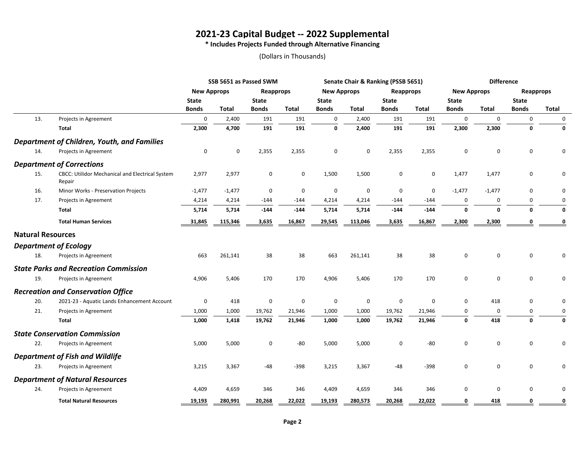## **2021-23 Capital Budget -- 2022 Supplemental**

**\* Includes Projects Funded through Alternative Financing**

(Dollars in Thousands)

|                          |                                                           | SSB 5651 as Passed SWM |              |              |              | Senate Chair & Ranking (PSSB 5651) |                     |              |              | <b>Difference</b>  |              |                     |              |
|--------------------------|-----------------------------------------------------------|------------------------|--------------|--------------|--------------|------------------------------------|---------------------|--------------|--------------|--------------------|--------------|---------------------|--------------|
|                          |                                                           | <b>New Approps</b>     |              | Reapprops    |              | <b>New Approps</b>                 |                     | Reapprops    |              | <b>New Approps</b> |              | <b>Reapprops</b>    |              |
|                          |                                                           | <b>State</b>           |              | <b>State</b> |              | <b>State</b>                       |                     | <b>State</b> |              | <b>State</b>       |              | <b>State</b>        |              |
|                          |                                                           | <b>Bonds</b>           | <b>Total</b> | <b>Bonds</b> | <b>Total</b> | <b>Bonds</b>                       | <b>Total</b>        | <b>Bonds</b> | <b>Total</b> | <b>Bonds</b>       | <b>Total</b> | <b>Bonds</b>        | <b>Total</b> |
| 13.                      | Projects in Agreement                                     | 0                      | 2,400        | 191          | 191          | 0                                  | 2,400               | 191          | 191          | 0                  | $\mathbf{0}$ | 0                   | 0            |
|                          | <b>Total</b>                                              | 2,300                  | 4,700        | 191          | 191          | 0                                  | 2,400               | 191          | 191          | 2,300              | 2,300        | $\mathbf 0$         | 0            |
|                          | <b>Department of Children, Youth, and Families</b>        |                        |              |              |              |                                    |                     |              |              |                    |              |                     |              |
| 14.                      | Projects in Agreement                                     | $\pmb{0}$              | 0            | 2,355        | 2,355        | 0                                  | $\mathsf{O}\xspace$ | 2,355        | 2,355        | 0                  | $\mathbf 0$  | $\mathsf{O}\xspace$ | 0            |
|                          | <b>Department of Corrections</b>                          |                        |              |              |              |                                    |                     |              |              |                    |              |                     |              |
| 15.                      | CBCC: Utilidor Mechanical and Electrical System<br>Repair | 2,977                  | 2,977        | 0            | 0            | 1,500                              | 1,500               | 0            | 0            | 1,477              | 1,477        | 0                   | $\pmb{0}$    |
| 16.                      | Minor Works - Preservation Projects                       | $-1,477$               | $-1,477$     | $\mathbf 0$  | 0            | 0                                  | 0                   | $\mathbf 0$  | $\mathbf 0$  | $-1,477$           | $-1,477$     | 0                   | 0            |
| 17.                      | Projects in Agreement                                     | 4,214                  | 4,214        | $-144$       | $-144$       | 4,214                              | 4,214               | $-144$       | $-144$       | 0                  | $\Omega$     | 0                   | 0            |
|                          | Total                                                     | 5,714                  | 5,714        | $-144$       | $-144$       | 5,714                              | 5,714               | $-144$       | $-144$       | $\mathbf 0$        | $\Omega$     | $\mathbf{0}$        | 0            |
|                          | <b>Total Human Services</b>                               | 31,845                 | 115,346      | 3,635        | 16,867       | 29,545                             | 113,046             | 3,635        | 16,867       | 2,300              | 2,300        | $\Omega$            | 0            |
| <b>Natural Resources</b> |                                                           |                        |              |              |              |                                    |                     |              |              |                    |              |                     |              |
|                          | <b>Department of Ecology</b>                              |                        |              |              |              |                                    |                     |              |              |                    |              |                     |              |
| 18.                      | Projects in Agreement                                     | 663                    | 261,141      | 38           | 38           | 663                                | 261,141             | 38           | 38           | 0                  | $\mathbf 0$  | $\mathsf 0$         | 0            |
|                          | <b>State Parks and Recreation Commission</b>              |                        |              |              |              |                                    |                     |              |              |                    |              |                     |              |
| 19.                      | Projects in Agreement                                     | 4,906                  | 5,406        | 170          | 170          | 4,906                              | 5,406               | 170          | 170          | 0                  | 0            | $\mathsf{O}\xspace$ | 0            |
|                          | <b>Recreation and Conservation Office</b>                 |                        |              |              |              |                                    |                     |              |              |                    |              |                     |              |
| 20.                      | 2021-23 - Aquatic Lands Enhancement Account               | $\pmb{0}$              | 418          | $\pmb{0}$    | 0            | 0                                  | 0                   | 0            | $\mathbf 0$  | 0                  | 418          | $\mathbf 0$         | 0            |
| 21.                      | Projects in Agreement                                     | 1,000                  | 1,000        | 19,762       | 21,946       | 1,000                              | 1,000               | 19,762       | 21,946       | 0                  | $\Omega$     | 0                   | 0            |
|                          | Total                                                     | 1,000                  | 1,418        | 19,762       | 21,946       | 1,000                              | 1,000               | 19,762       | 21,946       | $\mathbf 0$        | 418          | $\mathbf 0$         | 0            |
|                          | <b>State Conservation Commission</b>                      |                        |              |              |              |                                    |                     |              |              |                    |              |                     |              |
| 22.                      | Projects in Agreement                                     | 5,000                  | 5,000        | $\mathbf 0$  | $-80$        | 5,000                              | 5,000               | 0            | -80          | 0                  | $\mathbf{0}$ | $\mathbf 0$         | 0            |
|                          | <b>Department of Fish and Wildlife</b>                    |                        |              |              |              |                                    |                     |              |              |                    |              |                     |              |
| 23.                      | Projects in Agreement                                     | 3,215                  | 3,367        | -48          | -398         | 3,215                              | 3,367               | $-48$        | $-398$       | 0                  | $\mathbf 0$  | 0                   | 0            |
|                          | <b>Department of Natural Resources</b>                    |                        |              |              |              |                                    |                     |              |              |                    |              |                     |              |
| 24.                      | Projects in Agreement                                     | 4,409                  | 4,659        | 346          | 346          | 4,409                              | 4,659               | 346          | 346          | 0                  | $\mathbf 0$  | $\mathsf 0$         | 0            |
|                          | <b>Total Natural Resources</b>                            | 19,193                 | 280,991      | 20,268       | 22,022       | 19,193                             | 280,573             | 20,268       | 22,022       | 0                  | 418          | 0                   | 0            |